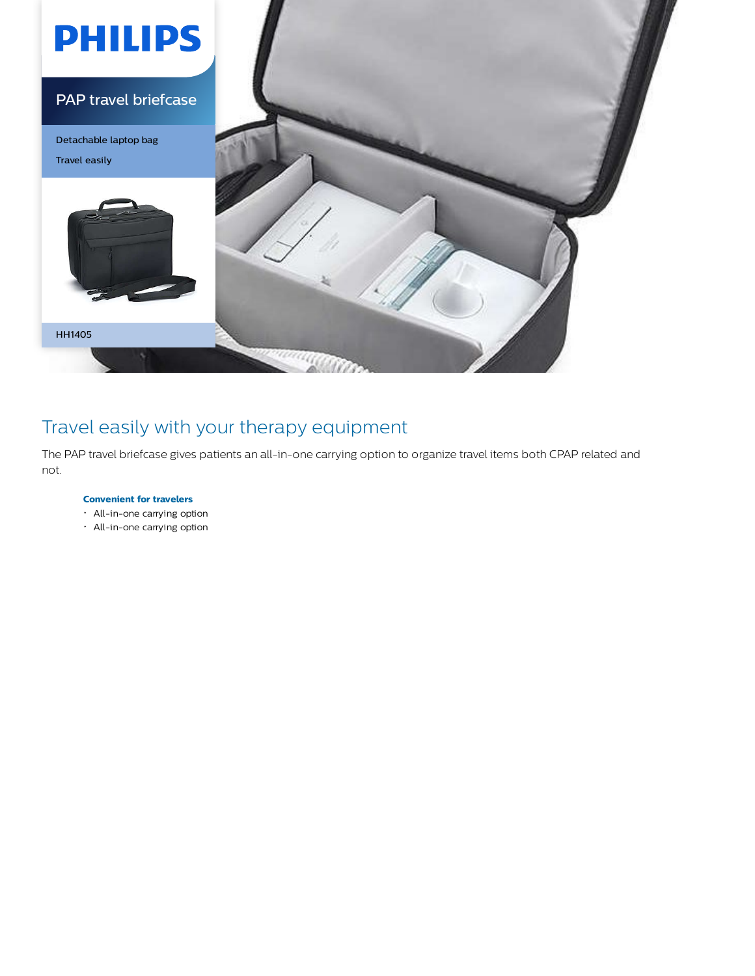

## Travel easily with your therapy equipment

The PAP travel briefcase gives patients an all-in-one carrying option to organize travel items both CPAP related and not.

## **Convenient for travelers**

- All-in-one carrying option
- All-in-one carrying option